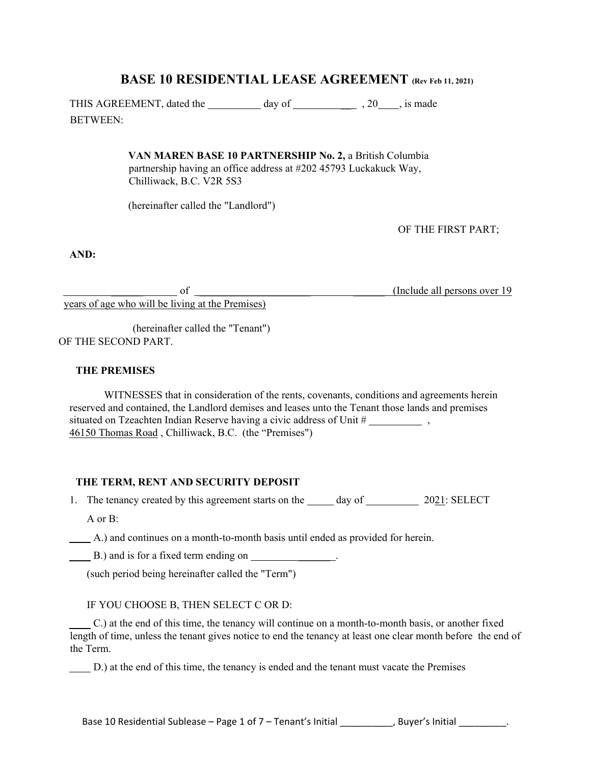# **BASE 10 RESIDENTIAL LEASE AGREEMENT (Rev Feb 11, 2021)**

THIS AGREEMENT, dated the day of 3.20 , is made BETWEEN:

> **VAN MAREN BASE 10 PARTNERSHIP No. 2,** a British Columbia partnership having an office address at #202 45793 Luckakuck Way, Chilliwack, B.C. V2R 5S3

(hereinafter called the "Landlord")

OF THE FIRST PART;

**AND:** 

 \_\_\_\_\_\_ of \_\_\_\_\_\_\_\_\_\_\_\_\_\_\_\_\_\_\_\_\_ \_\_\_\_\_\_ (Include all persons over 19 years of age who will be living at the Premises)

(hereinafter called the "Tenant") OF THE SECOND PART.

### **THE PREMISES**

WITNESSES that in consideration of the rents, covenants, conditions and agreements herein reserved and contained, the Landlord demises and leases unto the Tenant those lands and premises situated on Tzeachten Indian Reserve having a civic address of Unit # , 46150 Thomas Road , Chilliwack, B.C. (the "Premises")

#### **THE TERM, RENT AND SECURITY DEPOSIT**

1. The tenancy created by this agreement starts on the  $\_\_\_\_$  day of  $\_\_\_\_\_$  2021: SELECT

A or B:

A.) and continues on a month-to-month basis until ended as provided for herein.

B.) and is for a fixed term ending on \_\_\_\_\_\_\_\_\_\_\_\_\_\_.

(such period being hereinafter called the "Term")

IF YOU CHOOSE B, THEN SELECT C OR D:

C.) at the end of this time, the tenancy will continue on a month-to-month basis, or another fixed length of time, unless the tenant gives notice to end the tenancy at least one clear month before the end of the Term.

D.) at the end of this time, the tenancy is ended and the tenant must vacate the Premises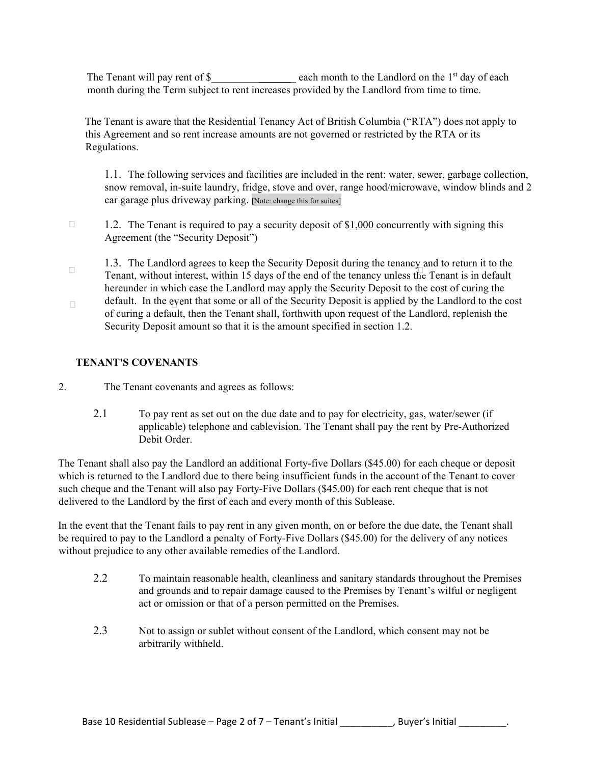The Tenant will pay rent of  $\$\$  each month to the Landlord on the 1<sup>st</sup> day of each month during the Term subject to rent increases provided by the Landlord from time to time.

The Tenant is aware that the Residential Tenancy Act of British Columbia ("RTA") does not apply to this Agreement and so rent increase amounts are not governed or restricted by the RTA or its Regulations.

1.1. The following services and facilities are included in the rent: water, sewer, garbage collection, snow removal, in-suite laundry, fridge, stove and over, range hood/microwave, window blinds and 2 car garage plus driveway parking. [Note: change this for suites]

- $\Box$ 1.2. The Tenant is required to pay a security deposit of \$1,000 concurrently with signing this Agreement (the "Security Deposit")
- 1.3. The Landlord agrees to keep the Security Deposit during the tenancy and to return it to the  $\Box$ Tenant, without interest, within 15 days of the end of the tenancy unless the Tenant is in default hereunder in which case the Landlord may apply the Security Deposit to the cost of curing the
- default. In the event that some or all of the Security Deposit is applied by the Landlord to the cost  $\Box$ of curing a default, then the Tenant shall, forthwith upon request of the Landlord, replenish the Security Deposit amount so that it is the amount specified in section 1.2.

### **TENANT'S COVENANTS**

- 2. The Tenant covenants and agrees as follows:
	- 2.1 To pay rent as set out on the due date and to pay for electricity, gas, water/sewer (if applicable) telephone and cablevision. The Tenant shall pay the rent by Pre-Authorized Debit Order.

The Tenant shall also pay the Landlord an additional Forty-five Dollars (\$45.00) for each cheque or deposit which is returned to the Landlord due to there being insufficient funds in the account of the Tenant to cover such cheque and the Tenant will also pay Forty-Five Dollars (\$45.00) for each rent cheque that is not delivered to the Landlord by the first of each and every month of this Sublease.

In the event that the Tenant fails to pay rent in any given month, on or before the due date, the Tenant shall be required to pay to the Landlord a penalty of Forty-Five Dollars (\$45.00) for the delivery of any notices without prejudice to any other available remedies of the Landlord.

- 2.2 To maintain reasonable health, cleanliness and sanitary standards throughout the Premises and grounds and to repair damage caused to the Premises by Tenant's wilful or negligent act or omission or that of a person permitted on the Premises.
- 2.3 Not to assign or sublet without consent of the Landlord, which consent may not be arbitrarily withheld.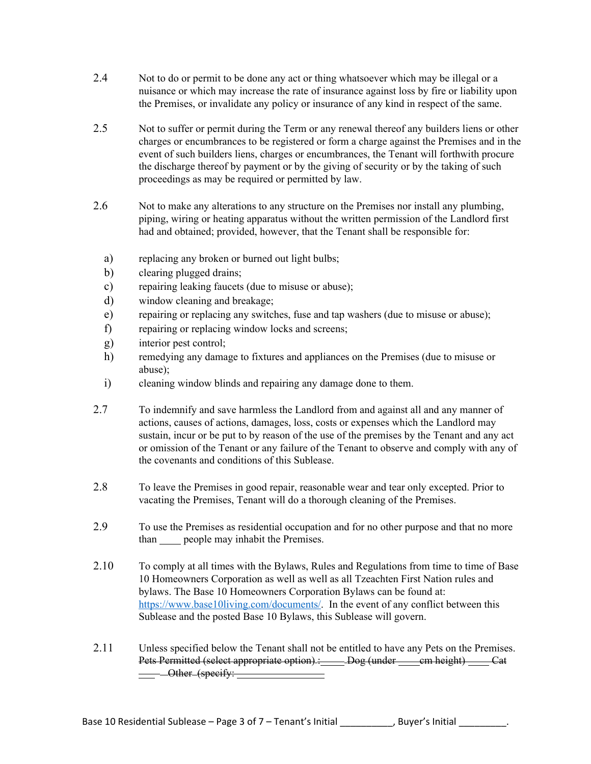- 2.4 Not to do or permit to be done any act or thing whatsoever which may be illegal or a nuisance or which may increase the rate of insurance against loss by fire or liability upon the Premises, or invalidate any policy or insurance of any kind in respect of the same.
- 2.5 Not to suffer or permit during the Term or any renewal thereof any builders liens or other charges or encumbrances to be registered or form a charge against the Premises and in the event of such builders liens, charges or encumbrances, the Tenant will forthwith procure the discharge thereof by payment or by the giving of security or by the taking of such proceedings as may be required or permitted by law.
- 2.6 Not to make any alterations to any structure on the Premises nor install any plumbing, piping, wiring or heating apparatus without the written permission of the Landlord first had and obtained; provided, however, that the Tenant shall be responsible for:
	- a) replacing any broken or burned out light bulbs;
	- b) clearing plugged drains;
	- c) repairing leaking faucets (due to misuse or abuse);
	- d) window cleaning and breakage;
	- e) repairing or replacing any switches, fuse and tap washers (due to misuse or abuse);
	- f) repairing or replacing window locks and screens;
	- g) interior pest control;
	- h) remedying any damage to fixtures and appliances on the Premises (due to misuse or abuse);
	- i) cleaning window blinds and repairing any damage done to them.
- 2.7 To indemnify and save harmless the Landlord from and against all and any manner of actions, causes of actions, damages, loss, costs or expenses which the Landlord may sustain, incur or be put to by reason of the use of the premises by the Tenant and any act or omission of the Tenant or any failure of the Tenant to observe and comply with any of the covenants and conditions of this Sublease.
- 2.8 To leave the Premises in good repair, reasonable wear and tear only excepted. Prior to vacating the Premises, Tenant will do a thorough cleaning of the Premises.
- 2.9 To use the Premises as residential occupation and for no other purpose and that no more than people may inhabit the Premises.
- 2.10 To comply at all times with the Bylaws, Rules and Regulations from time to time of Base 10 Homeowners Corporation as well as well as all Tzeachten First Nation rules and bylaws. The Base 10 Homeowners Corporation Bylaws can be found at: https://www.base10living.com/documents/. In the event of any conflict between this Sublease and the posted Base 10 Bylaws, this Sublease will govern.
- 2.11 Unless specified below the Tenant shall not be entitled to have any Pets on the Premises. Pets Permitted (select appropriate option) : Dog (under cm height) Cat  $-\longrightarrow$  Other (specify: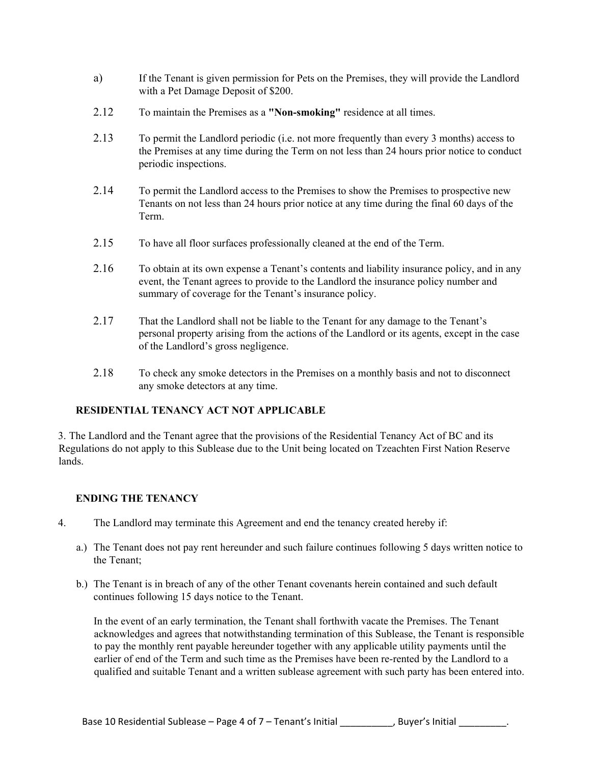- a) If the Tenant is given permission for Pets on the Premises, they will provide the Landlord with a Pet Damage Deposit of \$200.
- 2.12 To maintain the Premises as a **"Non-smoking"** residence at all times.
- 2.13 To permit the Landlord periodic (i.e. not more frequently than every 3 months) access to the Premises at any time during the Term on not less than 24 hours prior notice to conduct periodic inspections.
- 2.14 To permit the Landlord access to the Premises to show the Premises to prospective new Tenants on not less than 24 hours prior notice at any time during the final 60 days of the Term.
- 2.15 To have all floor surfaces professionally cleaned at the end of the Term.
- 2.16 To obtain at its own expense a Tenant's contents and liability insurance policy, and in any event, the Tenant agrees to provide to the Landlord the insurance policy number and summary of coverage for the Tenant's insurance policy.
- 2.17 That the Landlord shall not be liable to the Tenant for any damage to the Tenant's personal property arising from the actions of the Landlord or its agents, except in the case of the Landlord's gross negligence.
- 2.18 To check any smoke detectors in the Premises on a monthly basis and not to disconnect any smoke detectors at any time.

### **RESIDENTIAL TENANCY ACT NOT APPLICABLE**

3. The Landlord and the Tenant agree that the provisions of the Residential Tenancy Act of BC and its Regulations do not apply to this Sublease due to the Unit being located on Tzeachten First Nation Reserve lands.

#### **ENDING THE TENANCY**

- 4. The Landlord may terminate this Agreement and end the tenancy created hereby if:
	- a.) The Tenant does not pay rent hereunder and such failure continues following 5 days written notice to the Tenant;
	- b.) The Tenant is in breach of any of the other Tenant covenants herein contained and such default continues following 15 days notice to the Tenant.

In the event of an early termination, the Tenant shall forthwith vacate the Premises. The Tenant acknowledges and agrees that notwithstanding termination of this Sublease, the Tenant is responsible to pay the monthly rent payable hereunder together with any applicable utility payments until the earlier of end of the Term and such time as the Premises have been re-rented by the Landlord to a qualified and suitable Tenant and a written sublease agreement with such party has been entered into.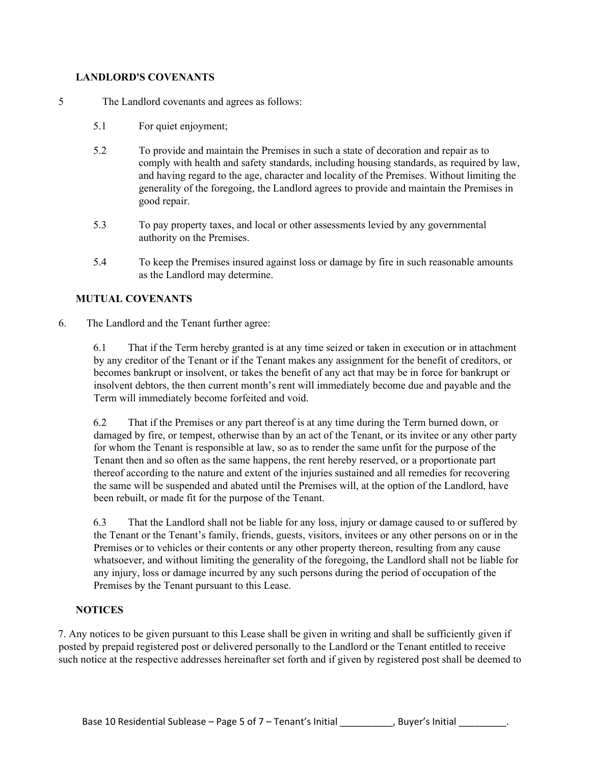## **LANDLORD'S COVENANTS**

- 5 The Landlord covenants and agrees as follows:
	- 5.1 For quiet enjoyment;
	- 5.2 To provide and maintain the Premises in such a state of decoration and repair as to comply with health and safety standards, including housing standards, as required by law, and having regard to the age, character and locality of the Premises. Without limiting the generality of the foregoing, the Landlord agrees to provide and maintain the Premises in good repair.
	- 5.3 To pay property taxes, and local or other assessments levied by any governmental authority on the Premises.
	- 5.4 To keep the Premises insured against loss or damage by fire in such reasonable amounts as the Landlord may determine.

### **MUTUAL COVENANTS**

6. The Landlord and the Tenant further agree:

6.1 That if the Term hereby granted is at any time seized or taken in execution or in attachment by any creditor of the Tenant or if the Tenant makes any assignment for the benefit of creditors, or becomes bankrupt or insolvent, or takes the benefit of any act that may be in force for bankrupt or insolvent debtors, the then current month's rent will immediately become due and payable and the Term will immediately become forfeited and void.

6.2 That if the Premises or any part thereof is at any time during the Term burned down, or damaged by fire, or tempest, otherwise than by an act of the Tenant, or its invitee or any other party for whom the Tenant is responsible at law, so as to render the same unfit for the purpose of the Tenant then and so often as the same happens, the rent hereby reserved, or a proportionate part thereof according to the nature and extent of the injuries sustained and all remedies for recovering the same will be suspended and abated until the Premises will, at the option of the Landlord, have been rebuilt, or made fit for the purpose of the Tenant.

6.3 That the Landlord shall not be liable for any loss, injury or damage caused to or suffered by the Tenant or the Tenant's family, friends, guests, visitors, invitees or any other persons on or in the Premises or to vehicles or their contents or any other property thereon, resulting from any cause whatsoever, and without limiting the generality of the foregoing, the Landlord shall not be liable for any injury, loss or damage incurred by any such persons during the period of occupation of the Premises by the Tenant pursuant to this Lease.

### **NOTICES**

7. Any notices to be given pursuant to this Lease shall be given in writing and shall be sufficiently given if posted by prepaid registered post or delivered personally to the Landlord or the Tenant entitled to receive such notice at the respective addresses hereinafter set forth and if given by registered post shall be deemed to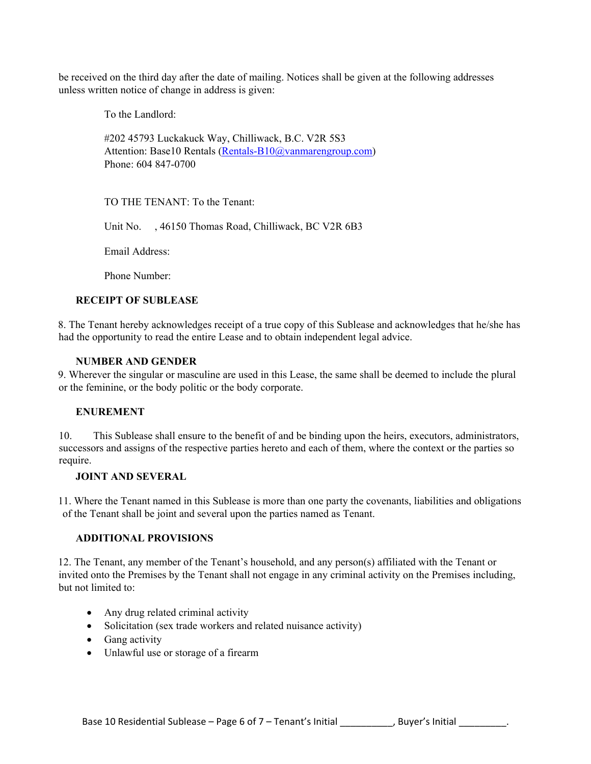be received on the third day after the date of mailing. Notices shall be given at the following addresses unless written notice of change in address is given:

To the Landlord:

#202 45793 Luckakuck Way, Chilliwack, B.C. V2R 5S3 Attention: Base10 Rentals (Rentals-B10@vanmarengroup.com) Phone: 604 847-0700

TO THE TENANT: To the Tenant:

Unit No. , 46150 Thomas Road, Chilliwack, BC V2R 6B3

Email Address:

Phone Number:

### **RECEIPT OF SUBLEASE**

8. The Tenant hereby acknowledges receipt of a true copy of this Sublease and acknowledges that he/she has had the opportunity to read the entire Lease and to obtain independent legal advice.

### **NUMBER AND GENDER**

9. Wherever the singular or masculine are used in this Lease, the same shall be deemed to include the plural or the feminine, or the body politic or the body corporate.

#### **ENUREMENT**

10. This Sublease shall ensure to the benefit of and be binding upon the heirs, executors, administrators, successors and assigns of the respective parties hereto and each of them, where the context or the parties so require.

#### **JOINT AND SEVERAL**

11. Where the Tenant named in this Sublease is more than one party the covenants, liabilities and obligations of the Tenant shall be joint and several upon the parties named as Tenant.

### **ADDITIONAL PROVISIONS**

12. The Tenant, any member of the Tenant's household, and any person(s) affiliated with the Tenant or invited onto the Premises by the Tenant shall not engage in any criminal activity on the Premises including, but not limited to:

- Any drug related criminal activity
- Solicitation (sex trade workers and related nuisance activity)
- Gang activity
- Unlawful use or storage of a firearm